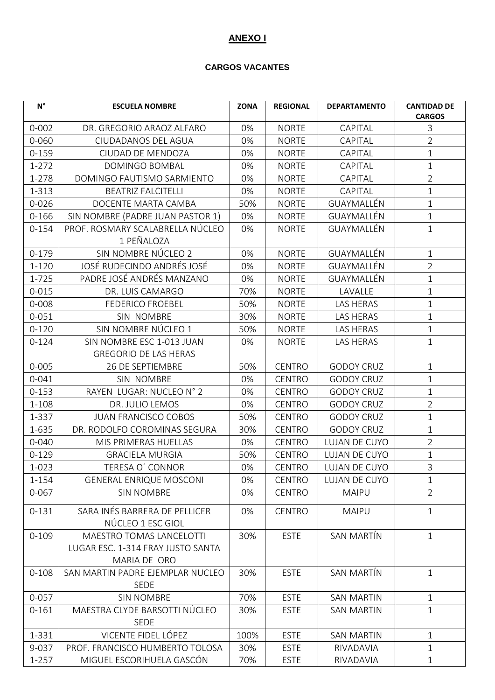## **ANEXO I**

## **CARGOS VACANTES**

| $\mathsf{N}^\circ$ | <b>ESCUELA NOMBRE</b>                              | <b>ZONA</b> | <b>REGIONAL</b> | <b>DEPARTAMENTO</b> | <b>CANTIDAD DE</b><br><b>CARGOS</b> |
|--------------------|----------------------------------------------------|-------------|-----------------|---------------------|-------------------------------------|
| $0 - 002$          | DR. GREGORIO ARAOZ ALFARO                          | 0%          | <b>NORTE</b>    | CAPITAL             | 3                                   |
| 0-060              | CIUDADANOS DEL AGUA                                | 0%          | <b>NORTE</b>    | CAPITAL             | $\overline{2}$                      |
| $0 - 159$          | CIUDAD DE MENDOZA                                  | 0%          | <b>NORTE</b>    | CAPITAL             | $\mathbf 1$                         |
| $1 - 272$          | DOMINGO BOMBAL                                     | 0%          | <b>NORTE</b>    | CAPITAL             | $\mathbf{1}$                        |
| 1-278              | DOMINGO FAUTISMO SARMIENTO                         | 0%          | <b>NORTE</b>    | CAPITAL             | $\overline{2}$                      |
| 1-313              | <b>BEATRIZ FALCITELLI</b>                          | 0%          | <b>NORTE</b>    | CAPITAL             | $\mathbf{1}$                        |
| $0 - 026$          | DOCENTE MARTA CAMBA                                | 50%         | <b>NORTE</b>    | GUAYMALLÉN          | $\mathbf{1}$                        |
| $0 - 166$          | SIN NOMBRE (PADRE JUAN PASTOR 1)                   | 0%          | <b>NORTE</b>    | GUAYMALLÉN          | $\mathbf{1}$                        |
| $0 - 154$          | PROF. ROSMARY SCALABRELLA NÚCLEO<br>1 PEÑALOZA     | 0%          | <b>NORTE</b>    | GUAYMALLÉN          | $\mathbf{1}$                        |
| $0 - 179$          | SIN NOMBRE NÚCLEO 2                                | 0%          | <b>NORTE</b>    | GUAYMALLÉN          | $\mathbf{1}$                        |
| $1 - 120$          | JOSÉ RUDECINDO ANDRÉS JOSÉ                         | 0%          | <b>NORTE</b>    | GUAYMALLÉN          | $\overline{2}$                      |
| $1 - 725$          | PADRE JOSÉ ANDRÉS MANZANO                          | 0%          | <b>NORTE</b>    | GUAYMALLÉN          | $\mathbf{1}$                        |
| $0 - 015$          | DR. LUIS CAMARGO                                   | 70%         | <b>NORTE</b>    | LAVALLE             | $\mathbf 1$                         |
| 0-008              | <b>FEDERICO FROEBEL</b>                            | 50%         | <b>NORTE</b>    | LAS HERAS           | 1                                   |
| $0 - 051$          | SIN NOMBRE                                         | 30%         | <b>NORTE</b>    | LAS HERAS           | $\mathbf{1}$                        |
| $0 - 120$          | SIN NOMBRE NÚCLEO 1                                | 50%         | <b>NORTE</b>    | LAS HERAS           | $\mathbf{1}$                        |
| $0 - 124$          | SIN NOMBRE ESC 1-013 JUAN                          | 0%          | <b>NORTE</b>    | LAS HERAS           | $\mathbf{1}$                        |
|                    | <b>GREGORIO DE LAS HERAS</b>                       |             |                 |                     |                                     |
| $0 - 005$          | 26 DE SEPTIEMBRE                                   | 50%         | <b>CENTRO</b>   | <b>GODOY CRUZ</b>   | $\mathbf{1}$                        |
| $0 - 041$          | SIN NOMBRE                                         | 0%          | <b>CENTRO</b>   | <b>GODOY CRUZ</b>   | $\mathbf 1$                         |
| $0 - 153$          | RAYEN LUGAR: NUCLEO N° 2                           | 0%          | <b>CENTRO</b>   | <b>GODOY CRUZ</b>   | $\mathbf 1$                         |
| 1-108              | DR. JULIO LEMOS                                    | 0%          | <b>CENTRO</b>   | <b>GODOY CRUZ</b>   | $\overline{2}$                      |
| 1-337              | <b>JUAN FRANCISCO COBOS</b>                        | 50%         | <b>CENTRO</b>   | <b>GODOY CRUZ</b>   | $\mathbf{1}$                        |
| 1-635              | DR. RODOLFO COROMINAS SEGURA                       | 30%         | <b>CENTRO</b>   | <b>GODOY CRUZ</b>   | 1                                   |
| $0 - 040$          | MIS PRIMERAS HUELLAS                               | 0%          | <b>CENTRO</b>   | LUJAN DE CUYO       | $\overline{2}$                      |
| $0 - 129$          | <b>GRACIELA MURGIA</b>                             | 50%         | <b>CENTRO</b>   | LUJAN DE CUYO       | $\mathbf 1$                         |
| 1-023              | TERESA O' CONNOR                                   | 0%          | <b>CENTRO</b>   | LUJAN DE CUYO       | $\overline{3}$                      |
| $1 - 154$          | <b>GENERAL ENRIQUE MOSCONI</b>                     | 0%          | <b>CENTRO</b>   | LUJAN DE CUYO       | $\mathbf{1}$                        |
| $0 - 067$          | <b>SIN NOMBRE</b>                                  | 0%          | <b>CENTRO</b>   | <b>MAIPU</b>        | $\overline{2}$                      |
| $0 - 131$          | SARA INÉS BARRERA DE PELLICER<br>NÚCLEO 1 ESC GIOL | 0%          | <b>CENTRO</b>   | MAIPU               | $\mathbf{1}$                        |
| $0 - 109$          | <b>MAESTRO TOMAS LANCELOTTI</b>                    | 30%         | <b>ESTE</b>     | SAN MARTÍN          | $\mathbf{1}$                        |
|                    | LUGAR ESC. 1-314 FRAY JUSTO SANTA                  |             |                 |                     |                                     |
|                    | MARIA DE ORO                                       |             |                 |                     |                                     |
| $0 - 108$          | SAN MARTIN PADRE EJEMPLAR NUCLEO                   | 30%         | <b>ESTE</b>     | SAN MARTÍN          | $\mathbf{1}$                        |
|                    | <b>SEDE</b>                                        |             |                 |                     |                                     |
| $0 - 057$          | <b>SIN NOMBRE</b>                                  | 70%         | <b>ESTE</b>     | <b>SAN MARTIN</b>   | $\mathbf{1}$                        |
| $0 - 161$          | MAESTRA CLYDE BARSOTTI NÚCLEO<br><b>SEDE</b>       | 30%         | <b>ESTE</b>     | <b>SAN MARTIN</b>   | $\mathbf 1$                         |
| 1-331              | VICENTE FIDEL LÓPEZ                                | 100%        | <b>ESTE</b>     | <b>SAN MARTIN</b>   | $\mathbf{1}$                        |
| 9-037              | PROF. FRANCISCO HUMBERTO TOLOSA                    | 30%         | <b>ESTE</b>     | RIVADAVIA           | $\mathbf 1$                         |
| $1 - 257$          | MIGUEL ESCORIHUELA GASCÓN                          | 70%         | <b>ESTE</b>     | RIVADAVIA           | $\mathbf{1}$                        |